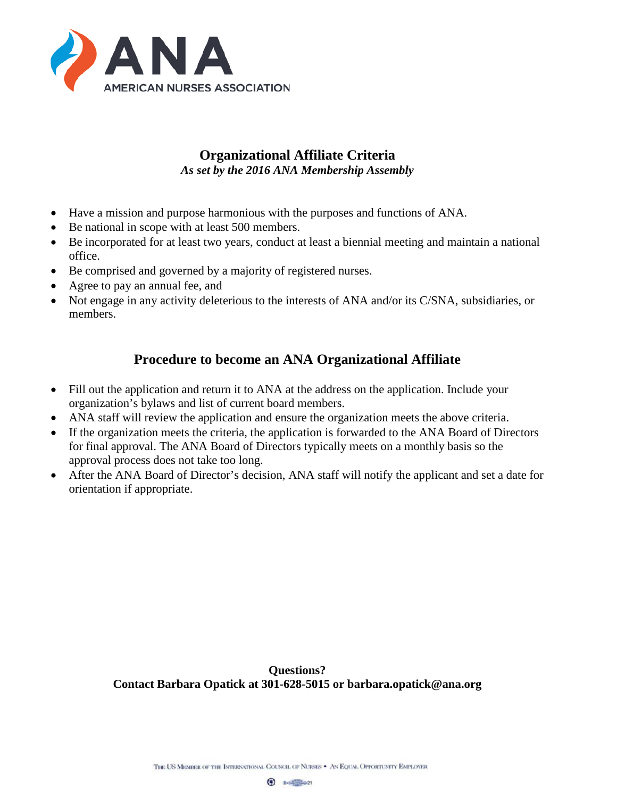

## **Organizational Affiliate Criteria** *As set by the 2016 ANA Membership Assembly*

- Have a mission and purpose harmonious with the purposes and functions of ANA.
- Be national in scope with at least 500 members.
- Be incorporated for at least two years, conduct at least a biennial meeting and maintain a national office.
- Be comprised and governed by a majority of registered nurses.
- Agree to pay an annual fee, and
- Not engage in any activity deleterious to the interests of ANA and/or its C/SNA, subsidiaries, or members.

# **Procedure to become an ANA Organizational Affiliate**

- Fill out the application and return it to ANA at the address on the application. Include your organization's bylaws and list of current board members.
- ANA staff will review the application and ensure the organization meets the above criteria.
- If the organization meets the criteria, the application is forwarded to the ANA Board of Directors for final approval. The ANA Board of Directors typically meets on a monthly basis so the approval process does not take too long.
- After the ANA Board of Director's decision, ANA staff will notify the applicant and set a date for orientation if appropriate.

**Questions? Contact Barbara Opatick at 301-628-5015 or barbara.opatick@ana.org**

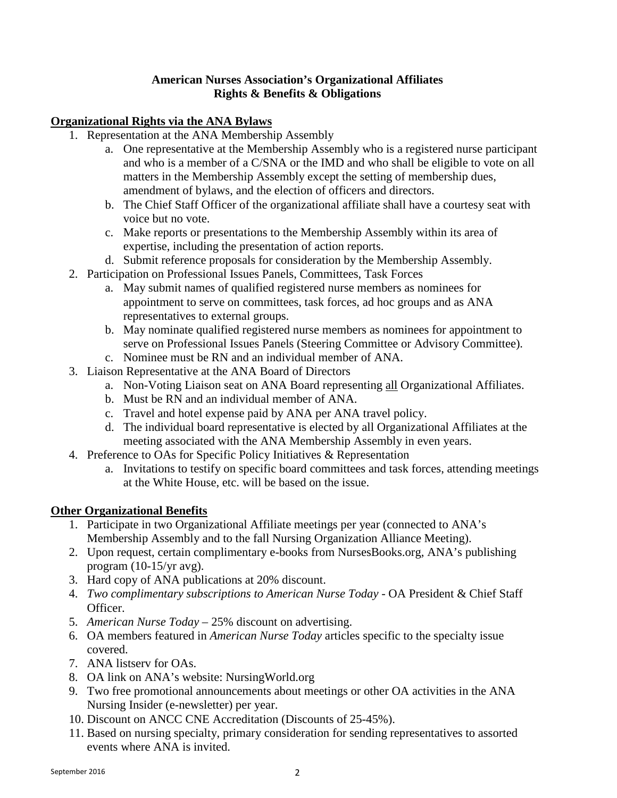### **American Nurses Association's Organizational Affiliates Rights & Benefits & Obligations**

### **Organizational Rights via the ANA Bylaws**

- 1. Representation at the ANA Membership Assembly
	- a. One representative at the Membership Assembly who is a registered nurse participant and who is a member of a C/SNA or the IMD and who shall be eligible to vote on all matters in the Membership Assembly except the setting of membership dues, amendment of bylaws, and the election of officers and directors.
	- b. The Chief Staff Officer of the organizational affiliate shall have a courtesy seat with voice but no vote.
	- c. Make reports or presentations to the Membership Assembly within its area of expertise, including the presentation of action reports.
	- d. Submit reference proposals for consideration by the Membership Assembly.
- 2. Participation on Professional Issues Panels, Committees, Task Forces
	- a. May submit names of qualified registered nurse members as nominees for appointment to serve on committees, task forces, ad hoc groups and as ANA representatives to external groups.
	- b. May nominate qualified registered nurse members as nominees for appointment to serve on Professional Issues Panels (Steering Committee or Advisory Committee).
	- c. Nominee must be RN and an individual member of ANA.
- 3. Liaison Representative at the ANA Board of Directors
	- a. Non-Voting Liaison seat on ANA Board representing all Organizational Affiliates.
	- b. Must be RN and an individual member of ANA.
	- c. Travel and hotel expense paid by ANA per ANA travel policy.
	- d. The individual board representative is elected by all Organizational Affiliates at the meeting associated with the ANA Membership Assembly in even years.
- 4. Preference to OAs for Specific Policy Initiatives & Representation
	- a. Invitations to testify on specific board committees and task forces, attending meetings at the White House, etc. will be based on the issue.

## **Other Organizational Benefits**

- 1. Participate in two Organizational Affiliate meetings per year (connected to ANA's Membership Assembly and to the fall Nursing Organization Alliance Meeting).
- 2. Upon request, certain complimentary e-books from NursesBooks.org, ANA's publishing program (10-15/yr avg).
- 3. Hard copy of ANA publications at 20% discount.
- 4. *Two complimentary subscriptions to American Nurse Today -* OA President & Chief Staff Officer.
- 5. *American Nurse Today* 25% discount on advertising.
- 6. OA members featured in *American Nurse Today* articles specific to the specialty issue covered.
- 7. ANA listserv for OAs.
- 8. OA link on ANA's website: NursingWorld.org
- 9. Two free promotional announcements about meetings or other OA activities in the ANA Nursing Insider (e-newsletter) per year.
- 10. Discount on ANCC CNE Accreditation (Discounts of 25-45%).
- 11. Based on nursing specialty, primary consideration for sending representatives to assorted events where ANA is invited.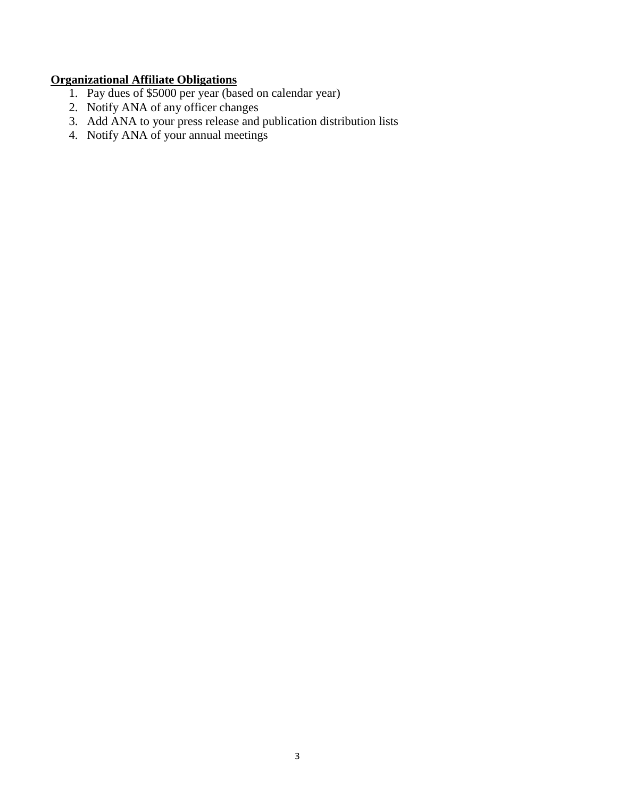## **Organizational Affiliate Obligations**

- 1. Pay dues of \$5000 per year (based on calendar year)
- 2. Notify ANA of any officer changes
- 3. Add ANA to your press release and publication distribution lists
- 4. Notify ANA of your annual meetings